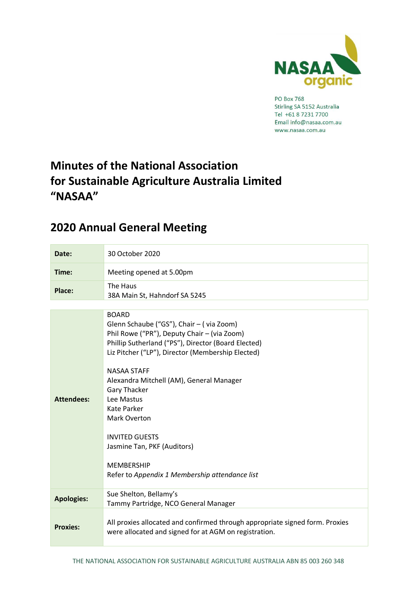

**PO Box 768** Stirling SA 5152 Australia Tel +61 8 7231 7700 Email info@nasaa.com.au www.nasaa.com.au

# **Minutes of the National Association for Sustainable Agriculture Australia Limited "NASAA"**

## **2020 Annual General Meeting**

| Date:             | 30 October 2020                                                                                                                                                                                                                                                                                                                                                                                                                                                                                 |
|-------------------|-------------------------------------------------------------------------------------------------------------------------------------------------------------------------------------------------------------------------------------------------------------------------------------------------------------------------------------------------------------------------------------------------------------------------------------------------------------------------------------------------|
| Time:             | Meeting opened at 5.00pm                                                                                                                                                                                                                                                                                                                                                                                                                                                                        |
| Place:            | The Haus<br>38A Main St, Hahndorf SA 5245                                                                                                                                                                                                                                                                                                                                                                                                                                                       |
| <b>Attendees:</b> | <b>BOARD</b><br>Glenn Schaube ("GS"), Chair - (via Zoom)<br>Phil Rowe ("PR"), Deputy Chair - (via Zoom)<br>Phillip Sutherland ("PS"), Director (Board Elected)<br>Liz Pitcher ("LP"), Director (Membership Elected)<br><b>NASAA STAFF</b><br>Alexandra Mitchell (AM), General Manager<br>Gary Thacker<br>Lee Mastus<br><b>Kate Parker</b><br><b>Mark Overton</b><br><b>INVITED GUESTS</b><br>Jasmine Tan, PKF (Auditors)<br><b>MEMBERSHIP</b><br>Refer to Appendix 1 Membership attendance list |
| <b>Apologies:</b> | Sue Shelton, Bellamy's<br>Tammy Partridge, NCO General Manager                                                                                                                                                                                                                                                                                                                                                                                                                                  |
| <b>Proxies:</b>   | All proxies allocated and confirmed through appropriate signed form. Proxies<br>were allocated and signed for at AGM on registration.                                                                                                                                                                                                                                                                                                                                                           |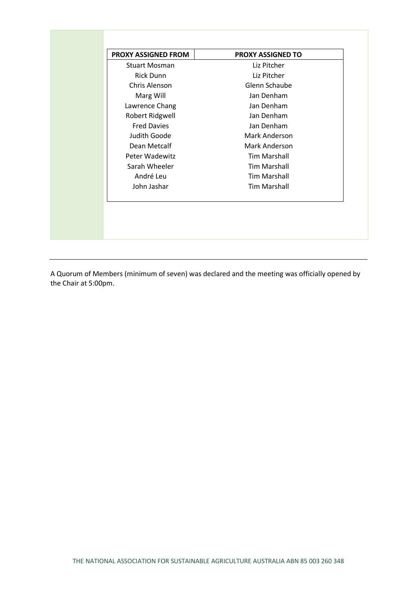| Liz Pitcher<br><b>Rick Dunn</b><br><b>Chris Alenson</b><br>Glenn Schaube<br>Jan Denham<br>Marg Will<br>Jan Denham<br>Lawrence Chang<br>Jan Denham<br>Robert Ridgwell |
|----------------------------------------------------------------------------------------------------------------------------------------------------------------------|
|                                                                                                                                                                      |
|                                                                                                                                                                      |
|                                                                                                                                                                      |
|                                                                                                                                                                      |
|                                                                                                                                                                      |
| <b>Fred Davies</b><br>Jan Denham                                                                                                                                     |
| Judith Goode<br>Mark Anderson                                                                                                                                        |
| Dean Metcalf<br>Mark Anderson                                                                                                                                        |
| Peter Wadewitz<br><b>Tim Marshall</b>                                                                                                                                |
| Sarah Wheeler<br><b>Tim Marshall</b>                                                                                                                                 |
| André Leu<br><b>Tim Marshall</b>                                                                                                                                     |
| John Jashar<br><b>Tim Marshall</b>                                                                                                                                   |

A Quorum of Members (minimum of seven) was declared and the meeting was officially opened by the Chair at 5:00pm.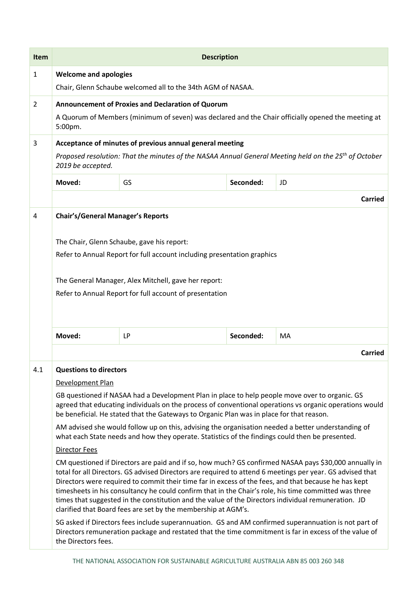| <b>Item</b>                                                                                                                                                                                                                                                                                           | <b>Description</b>                                                                                                                                                                                                                                                                                                                                                                                                                                                                                                                                                                                          |                                                                                                                                                                                                               |           |                                                                                                                   |  |
|-------------------------------------------------------------------------------------------------------------------------------------------------------------------------------------------------------------------------------------------------------------------------------------------------------|-------------------------------------------------------------------------------------------------------------------------------------------------------------------------------------------------------------------------------------------------------------------------------------------------------------------------------------------------------------------------------------------------------------------------------------------------------------------------------------------------------------------------------------------------------------------------------------------------------------|---------------------------------------------------------------------------------------------------------------------------------------------------------------------------------------------------------------|-----------|-------------------------------------------------------------------------------------------------------------------|--|
| 1                                                                                                                                                                                                                                                                                                     | <b>Welcome and apologies</b>                                                                                                                                                                                                                                                                                                                                                                                                                                                                                                                                                                                |                                                                                                                                                                                                               |           |                                                                                                                   |  |
|                                                                                                                                                                                                                                                                                                       | Chair, Glenn Schaube welcomed all to the 34th AGM of NASAA.                                                                                                                                                                                                                                                                                                                                                                                                                                                                                                                                                 |                                                                                                                                                                                                               |           |                                                                                                                   |  |
| 2                                                                                                                                                                                                                                                                                                     | Announcement of Proxies and Declaration of Quorum                                                                                                                                                                                                                                                                                                                                                                                                                                                                                                                                                           |                                                                                                                                                                                                               |           |                                                                                                                   |  |
|                                                                                                                                                                                                                                                                                                       | 5:00pm.                                                                                                                                                                                                                                                                                                                                                                                                                                                                                                                                                                                                     |                                                                                                                                                                                                               |           | A Quorum of Members (minimum of seven) was declared and the Chair officially opened the meeting at                |  |
| 3                                                                                                                                                                                                                                                                                                     |                                                                                                                                                                                                                                                                                                                                                                                                                                                                                                                                                                                                             | Acceptance of minutes of previous annual general meeting                                                                                                                                                      |           |                                                                                                                   |  |
|                                                                                                                                                                                                                                                                                                       | 2019 be accepted.                                                                                                                                                                                                                                                                                                                                                                                                                                                                                                                                                                                           |                                                                                                                                                                                                               |           | Proposed resolution: That the minutes of the NASAA Annual General Meeting held on the 25 <sup>th</sup> of October |  |
|                                                                                                                                                                                                                                                                                                       | Moved:                                                                                                                                                                                                                                                                                                                                                                                                                                                                                                                                                                                                      | GS                                                                                                                                                                                                            | Seconded: | JD                                                                                                                |  |
|                                                                                                                                                                                                                                                                                                       |                                                                                                                                                                                                                                                                                                                                                                                                                                                                                                                                                                                                             |                                                                                                                                                                                                               |           | <b>Carried</b>                                                                                                    |  |
| 4                                                                                                                                                                                                                                                                                                     | <b>Chair's/General Manager's Reports</b>                                                                                                                                                                                                                                                                                                                                                                                                                                                                                                                                                                    |                                                                                                                                                                                                               |           |                                                                                                                   |  |
|                                                                                                                                                                                                                                                                                                       |                                                                                                                                                                                                                                                                                                                                                                                                                                                                                                                                                                                                             |                                                                                                                                                                                                               |           |                                                                                                                   |  |
|                                                                                                                                                                                                                                                                                                       |                                                                                                                                                                                                                                                                                                                                                                                                                                                                                                                                                                                                             | The Chair, Glenn Schaube, gave his report:                                                                                                                                                                    |           |                                                                                                                   |  |
|                                                                                                                                                                                                                                                                                                       |                                                                                                                                                                                                                                                                                                                                                                                                                                                                                                                                                                                                             | Refer to Annual Report for full account including presentation graphics                                                                                                                                       |           |                                                                                                                   |  |
|                                                                                                                                                                                                                                                                                                       |                                                                                                                                                                                                                                                                                                                                                                                                                                                                                                                                                                                                             | The General Manager, Alex Mitchell, gave her report:                                                                                                                                                          |           |                                                                                                                   |  |
|                                                                                                                                                                                                                                                                                                       |                                                                                                                                                                                                                                                                                                                                                                                                                                                                                                                                                                                                             | Refer to Annual Report for full account of presentation                                                                                                                                                       |           |                                                                                                                   |  |
|                                                                                                                                                                                                                                                                                                       |                                                                                                                                                                                                                                                                                                                                                                                                                                                                                                                                                                                                             |                                                                                                                                                                                                               |           |                                                                                                                   |  |
|                                                                                                                                                                                                                                                                                                       |                                                                                                                                                                                                                                                                                                                                                                                                                                                                                                                                                                                                             |                                                                                                                                                                                                               |           |                                                                                                                   |  |
|                                                                                                                                                                                                                                                                                                       | Moved:                                                                                                                                                                                                                                                                                                                                                                                                                                                                                                                                                                                                      | LP                                                                                                                                                                                                            | Seconded: | MA                                                                                                                |  |
|                                                                                                                                                                                                                                                                                                       |                                                                                                                                                                                                                                                                                                                                                                                                                                                                                                                                                                                                             |                                                                                                                                                                                                               |           | <b>Carried</b>                                                                                                    |  |
| 4.1                                                                                                                                                                                                                                                                                                   | <b>Questions to directors</b>                                                                                                                                                                                                                                                                                                                                                                                                                                                                                                                                                                               |                                                                                                                                                                                                               |           |                                                                                                                   |  |
|                                                                                                                                                                                                                                                                                                       | Development Plan                                                                                                                                                                                                                                                                                                                                                                                                                                                                                                                                                                                            |                                                                                                                                                                                                               |           |                                                                                                                   |  |
| GB questioned if NASAA had a Development Plan in place to help people move over to organic. GS<br>agreed that educating individuals on the process of conventional operations vs organic operations would<br>be beneficial. He stated that the Gateways to Organic Plan was in place for that reason. |                                                                                                                                                                                                                                                                                                                                                                                                                                                                                                                                                                                                             |                                                                                                                                                                                                               |           |                                                                                                                   |  |
|                                                                                                                                                                                                                                                                                                       |                                                                                                                                                                                                                                                                                                                                                                                                                                                                                                                                                                                                             | AM advised she would follow up on this, advising the organisation needed a better understanding of<br>what each State needs and how they operate. Statistics of the findings could then be presented.         |           |                                                                                                                   |  |
|                                                                                                                                                                                                                                                                                                       | Director Fees                                                                                                                                                                                                                                                                                                                                                                                                                                                                                                                                                                                               |                                                                                                                                                                                                               |           |                                                                                                                   |  |
|                                                                                                                                                                                                                                                                                                       | CM questioned if Directors are paid and if so, how much? GS confirmed NASAA pays \$30,000 annually in<br>total for all Directors. GS advised Directors are required to attend 6 meetings per year. GS advised that<br>Directors were required to commit their time far in excess of the fees, and that because he has kept<br>timesheets in his consultancy he could confirm that in the Chair's role, his time committed was three<br>times that suggested in the constitution and the value of the Directors individual remuneration. JD<br>clarified that Board fees are set by the membership at AGM's. |                                                                                                                                                                                                               |           |                                                                                                                   |  |
|                                                                                                                                                                                                                                                                                                       | the Directors fees.                                                                                                                                                                                                                                                                                                                                                                                                                                                                                                                                                                                         | SG asked if Directors fees include superannuation. GS and AM confirmed superannuation is not part of<br>Directors remuneration package and restated that the time commitment is far in excess of the value of |           |                                                                                                                   |  |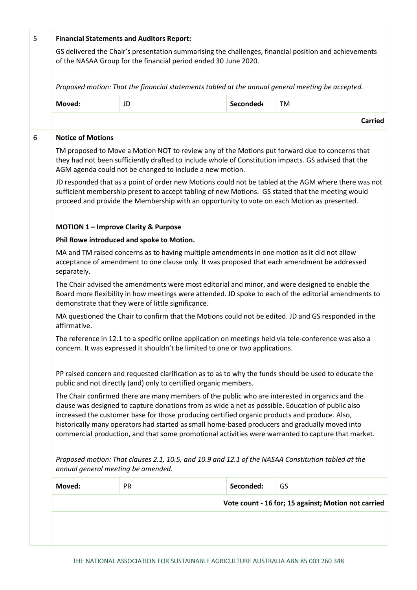| <b>Financial Statements and Auditors Report:</b>                                                                                                                                                                                                               |                                                                                                     |                                                                                                                                                                                                                                                                                                      |                                                                                                                                                                                                          |  |  |  |  |
|----------------------------------------------------------------------------------------------------------------------------------------------------------------------------------------------------------------------------------------------------------------|-----------------------------------------------------------------------------------------------------|------------------------------------------------------------------------------------------------------------------------------------------------------------------------------------------------------------------------------------------------------------------------------------------------------|----------------------------------------------------------------------------------------------------------------------------------------------------------------------------------------------------------|--|--|--|--|
|                                                                                                                                                                                                                                                                |                                                                                                     | of the NASAA Group for the financial period ended 30 June 2020.                                                                                                                                                                                                                                      | GS delivered the Chair's presentation summarising the challenges, financial position and achievements                                                                                                    |  |  |  |  |
| Proposed motion: That the financial statements tabled at the annual general meeting be accepted.                                                                                                                                                               |                                                                                                     |                                                                                                                                                                                                                                                                                                      |                                                                                                                                                                                                          |  |  |  |  |
| Moved:                                                                                                                                                                                                                                                         | JD                                                                                                  | Seconded:                                                                                                                                                                                                                                                                                            | TM                                                                                                                                                                                                       |  |  |  |  |
|                                                                                                                                                                                                                                                                |                                                                                                     |                                                                                                                                                                                                                                                                                                      | <b>Carried</b>                                                                                                                                                                                           |  |  |  |  |
| <b>Notice of Motions</b>                                                                                                                                                                                                                                       |                                                                                                     |                                                                                                                                                                                                                                                                                                      |                                                                                                                                                                                                          |  |  |  |  |
|                                                                                                                                                                                                                                                                | AGM agenda could not be changed to include a new motion.                                            |                                                                                                                                                                                                                                                                                                      | TM proposed to Move a Motion NOT to review any of the Motions put forward due to concerns that<br>they had not been sufficiently drafted to include whole of Constitution impacts. GS advised that the   |  |  |  |  |
|                                                                                                                                                                                                                                                                |                                                                                                     | proceed and provide the Membership with an opportunity to vote on each Motion as presented.                                                                                                                                                                                                          | JD responded that as a point of order new Motions could not be tabled at the AGM where there was not<br>sufficient membership present to accept tabling of new Motions. GS stated that the meeting would |  |  |  |  |
|                                                                                                                                                                                                                                                                | <b>MOTION 1 - Improve Clarity &amp; Purpose</b>                                                     |                                                                                                                                                                                                                                                                                                      |                                                                                                                                                                                                          |  |  |  |  |
|                                                                                                                                                                                                                                                                | Phil Rowe introduced and spoke to Motion.                                                           |                                                                                                                                                                                                                                                                                                      |                                                                                                                                                                                                          |  |  |  |  |
| MA and TM raised concerns as to having multiple amendments in one motion as it did not allow<br>acceptance of amendment to one clause only. It was proposed that each amendment be addressed<br>separately.                                                    |                                                                                                     |                                                                                                                                                                                                                                                                                                      |                                                                                                                                                                                                          |  |  |  |  |
| The Chair advised the amendments were most editorial and minor, and were designed to enable the<br>Board more flexibility in how meetings were attended. JD spoke to each of the editorial amendments to<br>demonstrate that they were of little significance. |                                                                                                     |                                                                                                                                                                                                                                                                                                      |                                                                                                                                                                                                          |  |  |  |  |
| affirmative.                                                                                                                                                                                                                                                   | MA questioned the Chair to confirm that the Motions could not be edited. JD and GS responded in the |                                                                                                                                                                                                                                                                                                      |                                                                                                                                                                                                          |  |  |  |  |
| The reference in 12.1 to a specific online application on meetings held via tele-conference was also a<br>concern. It was expressed it shouldn't be limited to one or two applications.                                                                        |                                                                                                     |                                                                                                                                                                                                                                                                                                      |                                                                                                                                                                                                          |  |  |  |  |
| PP raised concern and requested clarification as to as to why the funds should be used to educate the<br>public and not directly (and) only to certified organic members.                                                                                      |                                                                                                     |                                                                                                                                                                                                                                                                                                      |                                                                                                                                                                                                          |  |  |  |  |
|                                                                                                                                                                                                                                                                |                                                                                                     | clause was designed to capture donations from as wide a net as possible. Education of public also<br>increased the customer base for those producing certified organic products and produce. Also,<br>historically many operators had started as small home-based producers and gradually moved into | The Chair confirmed there are many members of the public who are interested in organics and the<br>commercial production, and that some promotional activities were warranted to capture that market.    |  |  |  |  |
|                                                                                                                                                                                                                                                                | annual general meeting be amended.                                                                  |                                                                                                                                                                                                                                                                                                      | Proposed motion: That clauses 2.1, 10.5, and 10.9 and 12.1 of the NASAA Constitution tabled at the                                                                                                       |  |  |  |  |
|                                                                                                                                                                                                                                                                | <b>PR</b>                                                                                           | Seconded:                                                                                                                                                                                                                                                                                            | GS                                                                                                                                                                                                       |  |  |  |  |
| Moved:                                                                                                                                                                                                                                                         |                                                                                                     |                                                                                                                                                                                                                                                                                                      |                                                                                                                                                                                                          |  |  |  |  |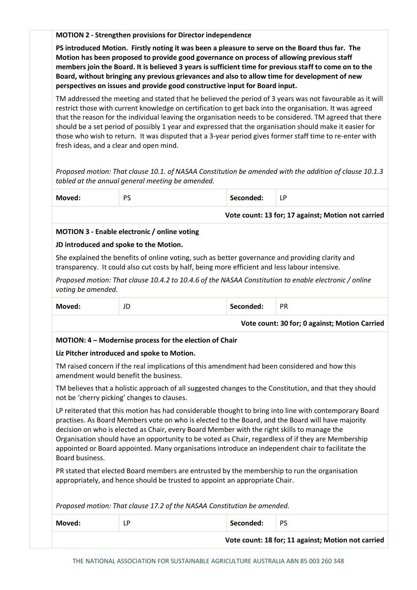**MOTION 2 - Strengthen provisions for Director independence**

**PS introduced Motion. Firstly noting it was been a pleasure to serve on the Board thus far. The Motion has been proposed to provide good governance on process of allowing previous staff members join the Board. It is believed 3 years is sufficient time for previous staff to come on to the Board, without bringing any previous grievances and also to allow time for development of new perspectives on issues and provide good constructive input for Board input.**

TM addressed the meeting and stated that he believed the period of 3 years was not favourable as it will restrict those with current knowledge on certification to get back into the organisation. It was agreed that the reason for the individual leaving the organisation needs to be considered. TM agreed that there should be a set period of possibly 1 year and expressed that the organisation should make it easier for those who wish to return. It was disputed that a 3-year period gives former staff time to re-enter with fresh ideas, and a clear and open mind.

*Proposed motion: That clause 10.1. of NASAA Constitution be amended with the addition of clause 10.1.3 tabled at the annual general meeting be amended.*

| Moved: | nc<br>$\sim$ | nded.<br>sero | . .<br>. . |
|--------|--------------|---------------|------------|
|        |              |               |            |

| Vote count: 13 for; 17 against; Motion not carried |  |  |  |  |
|----------------------------------------------------|--|--|--|--|
|----------------------------------------------------|--|--|--|--|

#### **MOTION 3 - Enable electronic / online voting**

#### **JD introduced and spoke to the Motion.**

She explained the benefits of online voting, such as better governance and providing clarity and transparency. It could also cut costs by half, being more efficient and less labour intensive.

*Proposed motion: That clause 10.4.2 to 10.4.6 of the NASAA Constitution to enable electronic / online voting be amended.*

| Moved: | JD | iueu. | <b>DE</b><br>. |
|--------|----|-------|----------------|
|        |    |       |                |

**Vote count: 30 for; 0 against; Motion Carried**

### **MOTION: 4 – Modernise process for the election of Chair**

#### **Liz Pitcher introduced and spoke to Motion.**

TM raised concern if the real implications of this amendment had been considered and how this amendment would benefit the business.

TM believes that a holistic approach of all suggested changes to the Constitution, and that they should not be 'cherry picking' changes to clauses.

LP reiterated that this motion has had considerable thought to bring into line with contemporary Board practises. As Board Members vote on who is elected to the Board, and the Board will have majority decision on who is elected as Chair, every Board Member with the right skills to manage the Organisation should have an opportunity to be voted as Chair, regardless of if they are Membership appointed or Board appointed. Many organisations introduce an independent chair to facilitate the Board business.

PR stated that elected Board members are entrusted by the membership to run the organisation appropriately, and hence should be trusted to appoint an appropriate Chair.

*Proposed motion: That clause 17.2 of the NASAA Constitution be amended.*

| Moved:                                             | P | Seconded: | <b>PS</b> |
|----------------------------------------------------|---|-----------|-----------|
| Vote count: 18 for; 11 against; Motion not carried |   |           |           |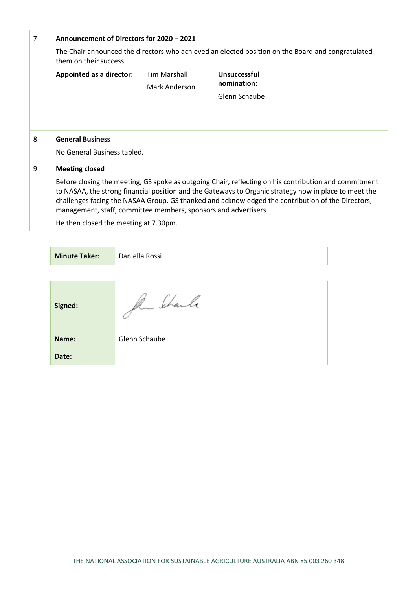| $\overline{7}$ | Announcement of Directors for 2020 - 2021                                                                                                                                                                                                                                                                                                                                                                                                                |                                                                                                   |                                              |  |  |
|----------------|----------------------------------------------------------------------------------------------------------------------------------------------------------------------------------------------------------------------------------------------------------------------------------------------------------------------------------------------------------------------------------------------------------------------------------------------------------|---------------------------------------------------------------------------------------------------|----------------------------------------------|--|--|
|                | them on their success.                                                                                                                                                                                                                                                                                                                                                                                                                                   | The Chair announced the directors who achieved an elected position on the Board and congratulated |                                              |  |  |
|                | <b>Appointed as a director:</b>                                                                                                                                                                                                                                                                                                                                                                                                                          | <b>Tim Marshall</b><br>Mark Anderson                                                              | Unsuccessful<br>nomination:<br>Glenn Schaube |  |  |
| 8              | <b>General Business</b><br>No General Business tabled.                                                                                                                                                                                                                                                                                                                                                                                                   |                                                                                                   |                                              |  |  |
| 9              | <b>Meeting closed</b><br>Before closing the meeting, GS spoke as outgoing Chair, reflecting on his contribution and commitment<br>to NASAA, the strong financial position and the Gateways to Organic strategy now in place to meet the<br>challenges facing the NASAA Group. GS thanked and acknowledged the contribution of the Directors,<br>management, staff, committee members, sponsors and advertisers.<br>He then closed the meeting at 7.30pm. |                                                                                                   |                                              |  |  |

| <b>Minute Taker:</b> | Daniella Rossi |
|----------------------|----------------|
|                      |                |
| Signed:              | the Schaule    |
| Name:                | Glenn Schaube  |
| Date:                |                |